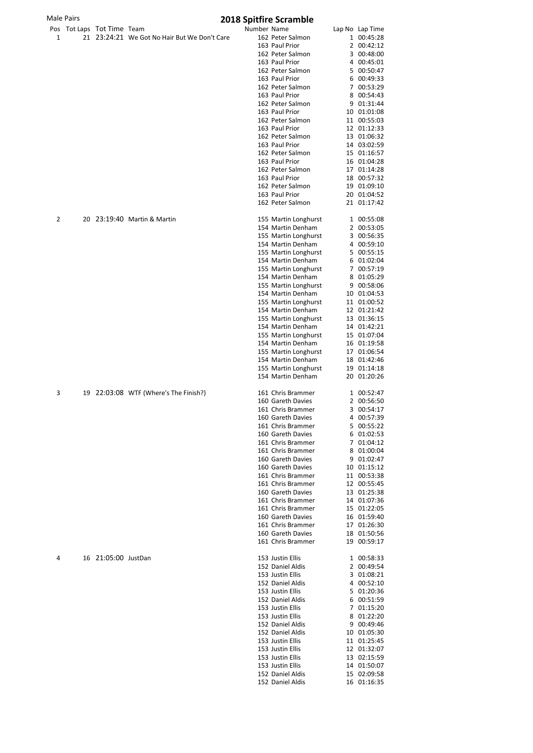| Male Pairs |  |                            | <b>2018 Spitfire Scramble</b>                |             |                                           |  |                            |  |
|------------|--|----------------------------|----------------------------------------------|-------------|-------------------------------------------|--|----------------------------|--|
|            |  | Pos Tot Laps Tot Time Team |                                              | Number Name |                                           |  | Lap No Lap Time            |  |
| 1          |  |                            | 21 23:24:21 We Got No Hair But We Don't Care |             | 162 Peter Salmon                          |  | 1 00:45:28                 |  |
|            |  |                            |                                              |             | 163 Paul Prior                            |  | 2 00:42:12                 |  |
|            |  |                            |                                              |             | 162 Peter Salmon                          |  | 3 00:48:00                 |  |
|            |  |                            |                                              |             | 163 Paul Prior                            |  | 4 00:45:01                 |  |
|            |  |                            |                                              |             | 162 Peter Salmon                          |  | 5 00:50:47                 |  |
|            |  |                            |                                              |             | 163 Paul Prior                            |  | 6 00:49:33                 |  |
|            |  |                            |                                              |             | 162 Peter Salmon                          |  | 7 00:53:29                 |  |
|            |  |                            |                                              |             | 163 Paul Prior                            |  | 8 00:54:43                 |  |
|            |  |                            |                                              |             | 162 Peter Salmon                          |  | 9 01:31:44                 |  |
|            |  |                            |                                              |             | 163 Paul Prior                            |  | 10 01:01:08                |  |
|            |  |                            |                                              |             | 162 Peter Salmon                          |  | 11 00:55:03                |  |
|            |  |                            |                                              |             | 163 Paul Prior                            |  | 12 01:12:33                |  |
|            |  |                            |                                              |             | 162 Peter Salmon                          |  | 13 01:06:32                |  |
|            |  |                            |                                              |             | 163 Paul Prior                            |  | 14 03:02:59                |  |
|            |  |                            |                                              |             | 162 Peter Salmon                          |  | 15 01:16:57                |  |
|            |  |                            |                                              |             | 163 Paul Prior                            |  | 16 01:04:28                |  |
|            |  |                            |                                              |             | 162 Peter Salmon                          |  | 17 01:14:28                |  |
|            |  |                            |                                              |             | 163 Paul Prior                            |  | 18 00:57:32                |  |
|            |  |                            |                                              |             | 162 Peter Salmon                          |  | 19 01:09:10                |  |
|            |  |                            |                                              |             | 163 Paul Prior                            |  | 20 01:04:52                |  |
|            |  |                            |                                              |             | 162 Peter Salmon                          |  | 21 01:17:42                |  |
| 2          |  |                            | 20 23:19:40 Martin & Martin                  |             | 155 Martin Longhurst                      |  | 1 00:55:08                 |  |
|            |  |                            |                                              |             | 154 Martin Denham                         |  | 2 00:53:05                 |  |
|            |  |                            |                                              |             | 155 Martin Longhurst                      |  | 3 00:56:35                 |  |
|            |  |                            |                                              |             | 154 Martin Denham                         |  | 4 00:59:10                 |  |
|            |  |                            |                                              |             | 155 Martin Longhurst                      |  | 5 00:55:15                 |  |
|            |  |                            |                                              |             | 154 Martin Denham                         |  | 6 01:02:04                 |  |
|            |  |                            |                                              |             | 155 Martin Longhurst                      |  | 7 00:57:19                 |  |
|            |  |                            |                                              |             | 154 Martin Denham                         |  | 8 01:05:29                 |  |
|            |  |                            |                                              |             | 155 Martin Longhurst                      |  | 9 00:58:06                 |  |
|            |  |                            |                                              |             | 154 Martin Denham                         |  | 10 01:04:53                |  |
|            |  |                            |                                              |             | 155 Martin Longhurst                      |  | 11 01:00:52                |  |
|            |  |                            |                                              |             | 154 Martin Denham                         |  | 12 01:21:42<br>13 01:36:15 |  |
|            |  |                            |                                              |             | 155 Martin Longhurst<br>154 Martin Denham |  | 14 01:42:21                |  |
|            |  |                            |                                              |             | 155 Martin Longhurst                      |  | 15 01:07:04                |  |
|            |  |                            |                                              |             | 154 Martin Denham                         |  | 16 01:19:58                |  |
|            |  |                            |                                              |             | 155 Martin Longhurst                      |  | 17 01:06:54                |  |
|            |  |                            |                                              |             | 154 Martin Denham                         |  | 18 01:42:46                |  |
|            |  |                            |                                              |             | 155 Martin Longhurst                      |  | 19 01:14:18                |  |
|            |  |                            |                                              |             | 154 Martin Denham                         |  | 20 01:20:26                |  |
|            |  |                            |                                              |             |                                           |  |                            |  |
| 3          |  |                            | 19 22:03:08 WTF (Where's The Finish?)        |             | 161 Chris Brammer<br>160 Gareth Davies    |  | 1 00:52:47<br>2 00:56:50   |  |
|            |  |                            |                                              |             | 161 Chris Brammer                         |  | 3 00:54:17                 |  |
|            |  |                            |                                              |             | 160 Gareth Davies                         |  | 4 00:57:39                 |  |
|            |  |                            |                                              |             | 161 Chris Brammer                         |  | 5 00:55:22                 |  |
|            |  |                            |                                              |             | 160 Gareth Davies                         |  | 6 01:02:53                 |  |
|            |  |                            |                                              |             | 161 Chris Brammer                         |  | 7 01:04:12                 |  |
|            |  |                            |                                              |             | 161 Chris Brammer                         |  | 8 01:00:04                 |  |
|            |  |                            |                                              |             | 160 Gareth Davies                         |  | 9 01:02:47                 |  |
|            |  |                            |                                              |             | 160 Gareth Davies                         |  | 10 01:15:12                |  |
|            |  |                            |                                              |             | 161 Chris Brammer                         |  | 11 00:53:38                |  |
|            |  |                            |                                              |             | 161 Chris Brammer                         |  | 12 00:55:45                |  |
|            |  |                            |                                              |             | 160 Gareth Davies                         |  | 13 01:25:38                |  |
|            |  |                            |                                              |             | 161 Chris Brammer                         |  | 14 01:07:36                |  |
|            |  |                            |                                              |             | 161 Chris Brammer                         |  | 15 01:22:05                |  |
|            |  |                            |                                              |             | 160 Gareth Davies                         |  | 16 01:59:40                |  |
|            |  |                            |                                              |             | 161 Chris Brammer                         |  | 17 01:26:30                |  |
|            |  |                            |                                              |             | 160 Gareth Davies                         |  | 18 01:50:56                |  |
|            |  |                            |                                              |             | 161 Chris Brammer                         |  | 19 00:59:17                |  |
| 4          |  | 16 21:05:00 JustDan        |                                              |             | 153 Justin Ellis                          |  | 1 00:58:33                 |  |
|            |  |                            |                                              |             | 152 Daniel Aldis                          |  | 2 00:49:54                 |  |
|            |  |                            |                                              |             | 153 Justin Ellis                          |  | 3 01:08:21                 |  |
|            |  |                            |                                              |             | 152 Daniel Aldis                          |  | 4 00:52:10                 |  |
|            |  |                            |                                              |             | 153 Justin Ellis                          |  | 5 01:20:36                 |  |
|            |  |                            |                                              |             | 152 Daniel Aldis                          |  | 6 00:51:59                 |  |
|            |  |                            |                                              |             | 153 Justin Ellis                          |  | 7 01:15:20                 |  |
|            |  |                            |                                              |             | 153 Justin Ellis                          |  | 8 01:22:20                 |  |
|            |  |                            |                                              |             | 152 Daniel Aldis                          |  | 9 00:49:46                 |  |
|            |  |                            |                                              |             | 152 Daniel Aldis                          |  | 10 01:05:30                |  |
|            |  |                            |                                              |             | 153 Justin Ellis                          |  | 11 01:25:45                |  |
|            |  |                            |                                              |             | 153 Justin Ellis                          |  | 12 01:32:07                |  |
|            |  |                            |                                              |             | 153 Justin Ellis                          |  | 13 02:15:59                |  |
|            |  |                            |                                              |             | 153 Justin Ellis                          |  | 14 01:50:07                |  |
|            |  |                            |                                              |             | 152 Daniel Aldis                          |  | 15 02:09:58                |  |
|            |  |                            |                                              |             | 152 Daniel Aldis                          |  | 16 01:16:35                |  |